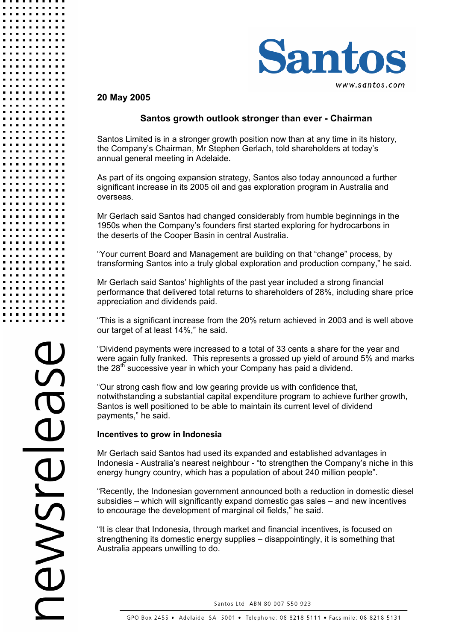

### **20 May 2005**

## **Santos growth outlook stronger than ever - Chairman**

Santos Limited is in a stronger growth position now than at any time in its history, the Company's Chairman, Mr Stephen Gerlach, told shareholders at today's annual general meeting in Adelaide.

As part of its ongoing expansion strategy, Santos also today announced a further significant increase in its 2005 oil and gas exploration program in Australia and overseas.

Mr Gerlach said Santos had changed considerably from humble beginnings in the 1950s when the Company's founders first started exploring for hydrocarbons in the deserts of the Cooper Basin in central Australia.

"Your current Board and Management are building on that "change" process, by transforming Santos into a truly global exploration and production company," he said.

Mr Gerlach said Santos' highlights of the past year included a strong financial performance that delivered total returns to shareholders of 28%, including share price appreciation and dividends paid.

"This is a significant increase from the 20% return achieved in 2003 and is well above our target of at least 14%," he said.

"Dividend payments were increased to a total of 33 cents a share for the year and were again fully franked. This represents a grossed up yield of around 5% and marks the  $28<sup>th</sup>$  successive year in which your Company has paid a dividend.

"Our strong cash flow and low gearing provide us with confidence that, notwithstanding a substantial capital expenditure program to achieve further growth, Santos is well positioned to be able to maintain its current level of dividend payments," he said.

#### **Incentives to grow in Indonesia**

Mr Gerlach said Santos had used its expanded and established advantages in Indonesia - Australia's nearest neighbour - "to strengthen the Company's niche in this energy hungry country, which has a population of about 240 million people".

"Recently, the Indonesian government announced both a reduction in domestic diesel subsidies – which will significantly expand domestic gas sales – and new incentives to encourage the development of marginal oil fields," he said.

"It is clear that Indonesia, through market and financial incentives, is focused on strengthening its domestic energy supplies – disappointingly, it is something that Australia appears unwilling to do.

Santos Ltd ABN 80 007 550 923

. . . . .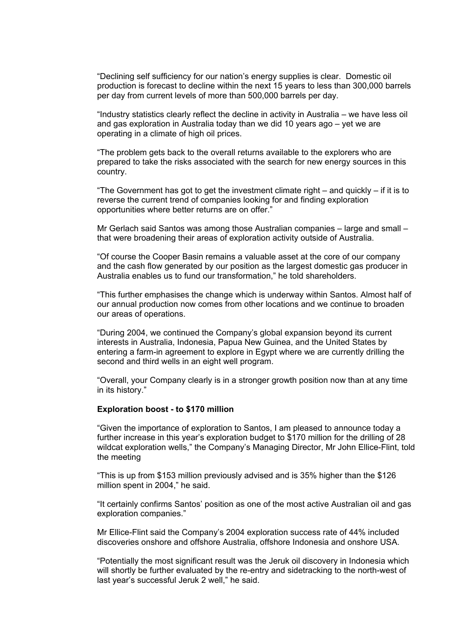"Declining self sufficiency for our nation's energy supplies is clear. Domestic oil production is forecast to decline within the next 15 years to less than 300,000 barrels per day from current levels of more than 500,000 barrels per day.

"Industry statistics clearly reflect the decline in activity in Australia – we have less oil and gas exploration in Australia today than we did 10 years ago – yet we are operating in a climate of high oil prices.

"The problem gets back to the overall returns available to the explorers who are prepared to take the risks associated with the search for new energy sources in this country.

"The Government has got to get the investment climate right  $-$  and quickly  $-$  if it is to reverse the current trend of companies looking for and finding exploration opportunities where better returns are on offer."

Mr Gerlach said Santos was among those Australian companies – large and small – that were broadening their areas of exploration activity outside of Australia.

"Of course the Cooper Basin remains a valuable asset at the core of our company and the cash flow generated by our position as the largest domestic gas producer in Australia enables us to fund our transformation," he told shareholders.

"This further emphasises the change which is underway within Santos. Almost half of our annual production now comes from other locations and we continue to broaden our areas of operations.

"During 2004, we continued the Company's global expansion beyond its current interests in Australia, Indonesia, Papua New Guinea, and the United States by entering a farm-in agreement to explore in Egypt where we are currently drilling the second and third wells in an eight well program.

"Overall, your Company clearly is in a stronger growth position now than at any time in its history."

#### **Exploration boost - to \$170 million**

"Given the importance of exploration to Santos, I am pleased to announce today a further increase in this year's exploration budget to \$170 million for the drilling of 28 wildcat exploration wells," the Company's Managing Director, Mr John Ellice-Flint, told the meeting

"This is up from \$153 million previously advised and is 35% higher than the \$126 million spent in 2004," he said.

"It certainly confirms Santos' position as one of the most active Australian oil and gas exploration companies."

Mr Ellice-Flint said the Company's 2004 exploration success rate of 44% included discoveries onshore and offshore Australia, offshore Indonesia and onshore USA.

"Potentially the most significant result was the Jeruk oil discovery in Indonesia which will shortly be further evaluated by the re-entry and sidetracking to the north-west of last year's successful Jeruk 2 well," he said.